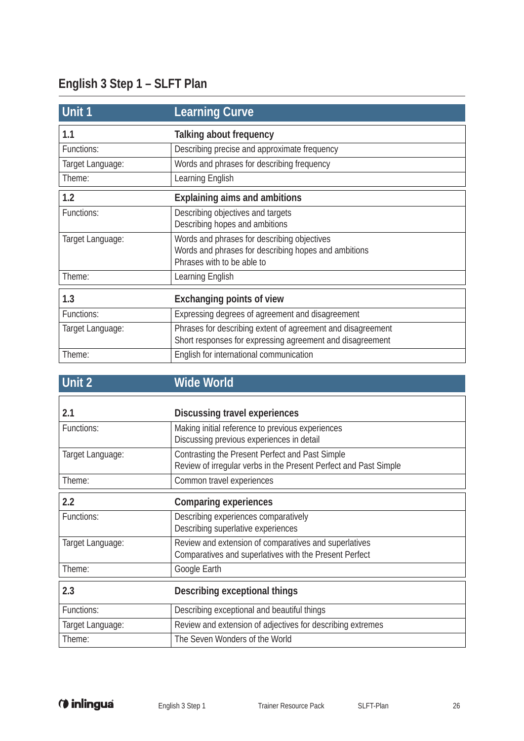## **English 3 Step 1 – SLFT Plan**

| Unit 1           | <b>Learning Curve</b>                                       |
|------------------|-------------------------------------------------------------|
| 1.1              | Talking about frequency                                     |
| Functions:       | Describing precise and approximate frequency                |
| Target Language: | Words and phrases for describing frequency                  |
| Theme:           | Learning English                                            |
| 1.2              | <b>Explaining aims and ambitions</b>                        |
| Functions:       | Describing objectives and targets                           |
|                  | Describing hopes and ambitions                              |
| Target Language: | Words and phrases for describing objectives                 |
|                  | Words and phrases for describing hopes and ambitions        |
|                  | Phrases with to be able to                                  |
| Theme:           | Learning English                                            |
| 1.3              | <b>Exchanging points of view</b>                            |
| Functions:       | Expressing degrees of agreement and disagreement            |
| Target Language: | Phrases for describing extent of agreement and disagreement |
|                  | Short responses for expressing agreement and disagreement   |
| Theme:           | English for international communication                     |

## **Unit 2 Wide World**

| 2.1              | Discussing travel experiences                                                                                       |
|------------------|---------------------------------------------------------------------------------------------------------------------|
| Functions:       | Making initial reference to previous experiences<br>Discussing previous experiences in detail                       |
| Target Language: | Contrasting the Present Perfect and Past Simple<br>Review of irregular verbs in the Present Perfect and Past Simple |
| Theme:           | Common travel experiences                                                                                           |
| 2.2              | <b>Comparing experiences</b>                                                                                        |
| Functions:       | Describing experiences comparatively<br>Describing superlative experiences                                          |
| Target Language: | Review and extension of comparatives and superlatives<br>Comparatives and superlatives with the Present Perfect     |
| Theme:           | Google Earth                                                                                                        |
| 2.3              | Describing exceptional things                                                                                       |
| Functions:       | Describing exceptional and beautiful things                                                                         |
| Target Language: | Review and extension of adjectives for describing extremes                                                          |
| Theme:           | The Seven Wonders of the World                                                                                      |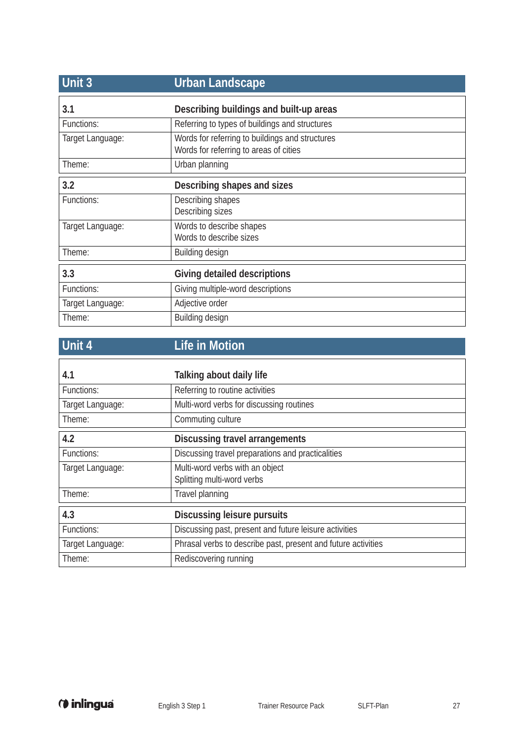| Unit 3           | <b>Urban Landscape</b>                                                                    |
|------------------|-------------------------------------------------------------------------------------------|
| 3.1              | Describing buildings and built-up areas                                                   |
| Functions:       | Referring to types of buildings and structures                                            |
| Target Language: | Words for referring to buildings and structures<br>Words for referring to areas of cities |
| Theme:           | Urban planning                                                                            |
| 3.2              | Describing shapes and sizes                                                               |
| Functions:       | Describing shapes<br>Describing sizes                                                     |
| Target Language: | Words to describe shapes<br>Words to describe sizes                                       |
| Theme:           | Building design                                                                           |
| 3.3              | Giving detailed descriptions                                                              |
| Functions:       | Giving multiple-word descriptions                                                         |
| Target Language: | Adjective order                                                                           |
| Theme:           | Building design                                                                           |

| Unit 4           | <b>Life in Motion</b>                                         |
|------------------|---------------------------------------------------------------|
| 4.1              | Talking about daily life                                      |
| Functions:       | Referring to routine activities                               |
| Target Language: | Multi-word verbs for discussing routines                      |
| Theme:           | Commuting culture                                             |
| 4.2              | <b>Discussing travel arrangements</b>                         |
| Functions:       | Discussing travel preparations and practicalities             |
| Target Language: | Multi-word verbs with an object<br>Splitting multi-word verbs |
| Theme:           | Travel planning                                               |
| 4.3              | <b>Discussing leisure pursuits</b>                            |
| Functions:       | Discussing past, present and future leisure activities        |
| Target Language: | Phrasal verbs to describe past, present and future activities |
| Theme:           | Rediscovering running                                         |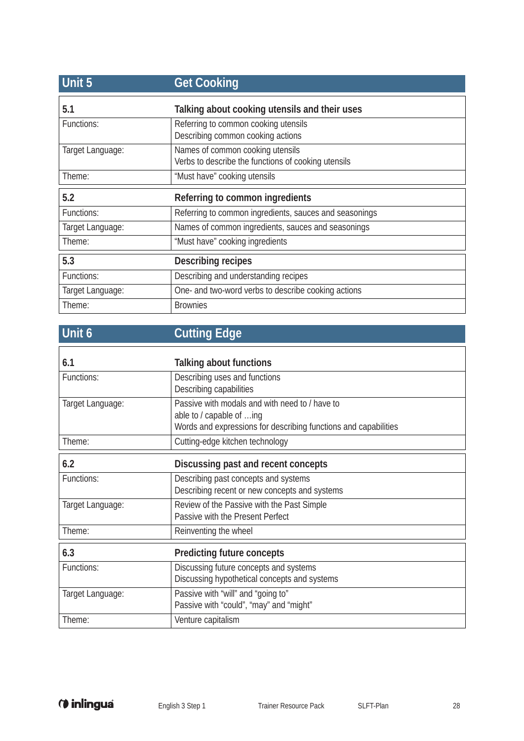| Unit 5           | <b>Get Cooking</b>                                                                      |
|------------------|-----------------------------------------------------------------------------------------|
| 5.1              | Talking about cooking utensils and their uses                                           |
| Functions:       | Referring to common cooking utensils<br>Describing common cooking actions               |
| Target Language: | Names of common cooking utensils<br>Verbs to describe the functions of cooking utensils |
| Theme:           | "Must have" cooking utensils                                                            |
| 5.2              | Referring to common ingredients                                                         |
| Functions:       | Referring to common ingredients, sauces and seasonings                                  |
| Target Language: | Names of common ingredients, sauces and seasonings                                      |
| Theme:           | "Must have" cooking ingredients                                                         |
| 5.3              | Describing recipes                                                                      |
| Functions:       | Describing and understanding recipes                                                    |
| Target Language: | One- and two-word verbs to describe cooking actions                                     |
| Theme:           | <b>Brownies</b>                                                                         |

| Unit 6           | <b>Cutting Edge</b>                                                                                                                           |
|------------------|-----------------------------------------------------------------------------------------------------------------------------------------------|
| 6.1              | Talking about functions                                                                                                                       |
| Functions:       | Describing uses and functions<br>Describing capabilities                                                                                      |
| Target Language: | Passive with modals and with need to / have to<br>able to / capable of ing<br>Words and expressions for describing functions and capabilities |
| Theme:           | Cutting-edge kitchen technology                                                                                                               |
| 6.2              | Discussing past and recent concepts                                                                                                           |
| Functions:       | Describing past concepts and systems<br>Describing recent or new concepts and systems                                                         |
| Target Language: | Review of the Passive with the Past Simple<br>Passive with the Present Perfect                                                                |
| Theme:           | Reinventing the wheel                                                                                                                         |
| 6.3              | <b>Predicting future concepts</b>                                                                                                             |
| Functions:       | Discussing future concepts and systems<br>Discussing hypothetical concepts and systems                                                        |
| Target Language: | Passive with "will" and "going to"                                                                                                            |

Passive with "could", "may" and "might"

Theme: Venture capitalism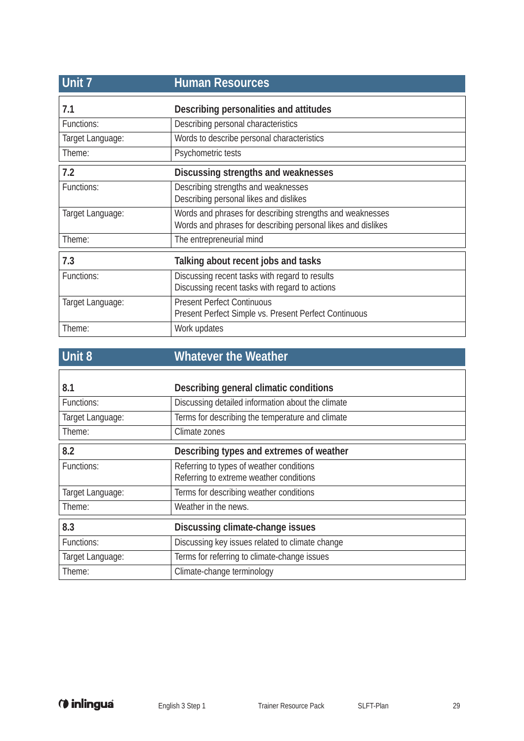| Unit 7           | <b>Human Resources</b>                                                                                                    |
|------------------|---------------------------------------------------------------------------------------------------------------------------|
| 7.1              | Describing personalities and attitudes                                                                                    |
| Functions:       | Describing personal characteristics                                                                                       |
| Target Language: | Words to describe personal characteristics                                                                                |
| Theme:           | Psychometric tests                                                                                                        |
| 7.2              | Discussing strengths and weaknesses                                                                                       |
| Functions:       | Describing strengths and weaknesses<br>Describing personal likes and dislikes                                             |
| Target Language: | Words and phrases for describing strengths and weaknesses<br>Words and phrases for describing personal likes and dislikes |
| Theme:           | The entrepreneurial mind                                                                                                  |
| 7.3              | Talking about recent jobs and tasks                                                                                       |
| Functions:       | Discussing recent tasks with regard to results<br>Discussing recent tasks with regard to actions                          |
| Target Language: | <b>Present Perfect Continuous</b><br>Present Perfect Simple vs. Present Perfect Continuous                                |
| Theme:           | Work updates                                                                                                              |

| Unit 8           | <b>Whatever the Weather</b>                       |
|------------------|---------------------------------------------------|
|                  |                                                   |
| 8.1              | Describing general climatic conditions            |
| Functions:       | Discussing detailed information about the climate |
| Target Language: | Terms for describing the temperature and climate  |
| Theme:           | Climate zones                                     |
| 8.2              | Describing types and extremes of weather          |
| Functions:       | Referring to types of weather conditions          |
|                  | Referring to extreme weather conditions           |
| Target Language: | Terms for describing weather conditions           |
| Theme:           | Weather in the news.                              |
| 8.3              | Discussing climate-change issues                  |
| Functions:       | Discussing key issues related to climate change   |
| Target Language: | Terms for referring to climate-change issues      |
| Theme:           | Climate-change terminology                        |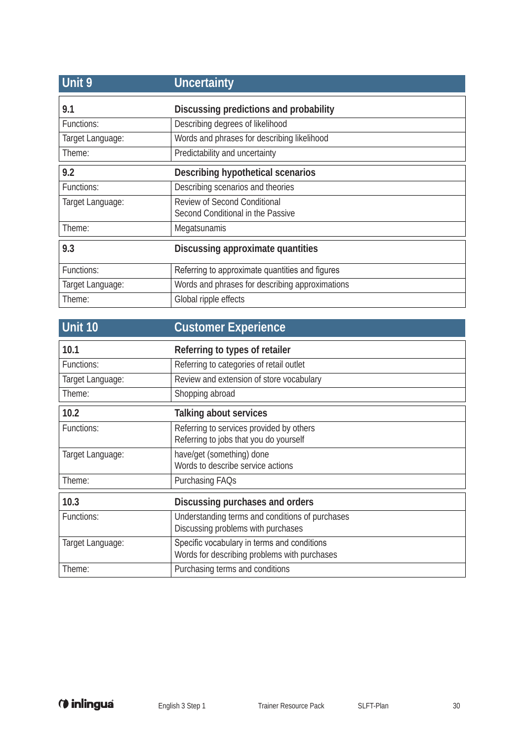| Unit 9           | <b>Uncertainty</b>                                                       |
|------------------|--------------------------------------------------------------------------|
| 9.1              | Discussing predictions and probability                                   |
| Functions:       | Describing degrees of likelihood                                         |
| Target Language: | Words and phrases for describing likelihood                              |
| Theme:           | Predictability and uncertainty                                           |
| 9.2              | Describing hypothetical scenarios                                        |
| Functions:       | Describing scenarios and theories                                        |
| Target Language: | <b>Review of Second Conditional</b><br>Second Conditional in the Passive |
| Theme:           | Megatsunamis                                                             |
| 9.3              | Discussing approximate quantities                                        |
| Functions:       | Referring to approximate quantities and figures                          |
| Target Language: | Words and phrases for describing approximations                          |
| Theme:           | Global ripple effects                                                    |

| Unit 10          | <b>Customer Experience</b>                                                                  |
|------------------|---------------------------------------------------------------------------------------------|
| 10.1             | Referring to types of retailer                                                              |
| Functions:       | Referring to categories of retail outlet                                                    |
| Target Language: | Review and extension of store vocabulary                                                    |
| Theme:           | Shopping abroad                                                                             |
| 10.2             | Talking about services                                                                      |
| Functions:       | Referring to services provided by others<br>Referring to jobs that you do yourself          |
| Target Language: | have/get (something) done<br>Words to describe service actions                              |
| Theme:           | Purchasing FAQs                                                                             |
| 10.3             | Discussing purchases and orders                                                             |
| Functions:       | Understanding terms and conditions of purchases<br>Discussing problems with purchases       |
| Target Language: | Specific vocabulary in terms and conditions<br>Words for describing problems with purchases |
| Theme:           | Purchasing terms and conditions                                                             |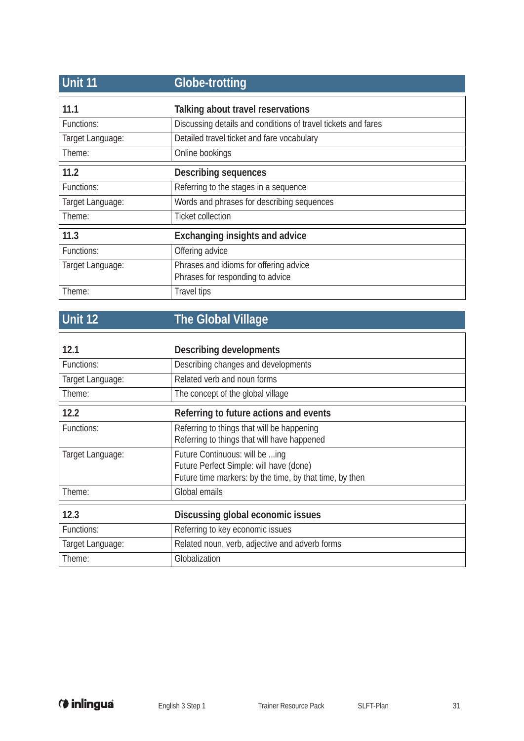| <b>Unit 11</b>   | <b>Globe-trotting</b>                                                      |
|------------------|----------------------------------------------------------------------------|
| 11.1             | Talking about travel reservations                                          |
| Functions:       | Discussing details and conditions of travel tickets and fares              |
| Target Language: | Detailed travel ticket and fare vocabulary                                 |
| Theme:           | Online bookings                                                            |
| 11.2             | <b>Describing sequences</b>                                                |
| Functions:       | Referring to the stages in a sequence                                      |
| Target Language: | Words and phrases for describing sequences                                 |
| Theme:           | <b>Ticket collection</b>                                                   |
| 11.3             | <b>Exchanging insights and advice</b>                                      |
| Functions:       | Offering advice                                                            |
| Target Language: | Phrases and idioms for offering advice<br>Phrases for responding to advice |
| Theme:           | <b>Travel tips</b>                                                         |

## **Unit 12 The Global Village**

| 12.1             | <b>Describing developments</b>                                                                                                       |
|------------------|--------------------------------------------------------------------------------------------------------------------------------------|
| Functions:       | Describing changes and developments                                                                                                  |
| Target Language: | Related verb and noun forms                                                                                                          |
| Theme:           | The concept of the global village                                                                                                    |
| 12.2             | Referring to future actions and events                                                                                               |
| Functions:       | Referring to things that will be happening<br>Referring to things that will have happened                                            |
| Target Language: | Future Continuous: will be ing<br>Future Perfect Simple: will have (done)<br>Future time markers: by the time, by that time, by then |
| Theme:           | Global emails                                                                                                                        |
| 12.3             | Discussing global economic issues                                                                                                    |
| Functions:       | Referring to key economic issues                                                                                                     |
| Target Language: | Related noun, verb, adjective and adverb forms                                                                                       |
| Theme:           | Globalization                                                                                                                        |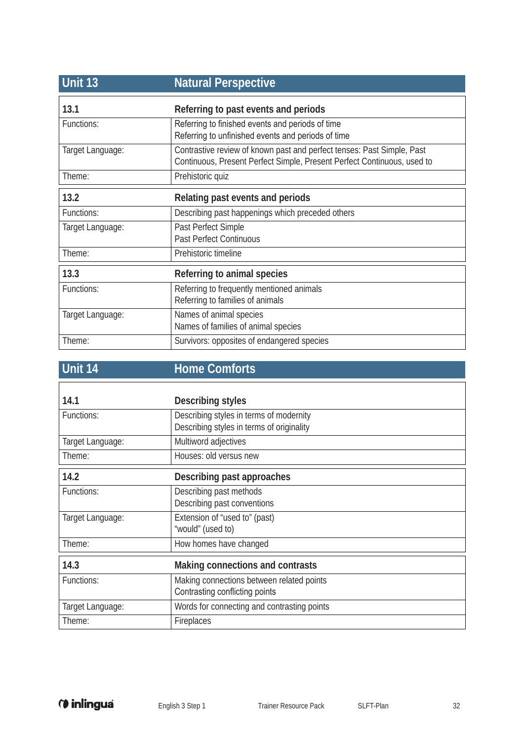| Unit 13          | <b>Natural Perspective</b>                                                                                                                        |
|------------------|---------------------------------------------------------------------------------------------------------------------------------------------------|
| 13.1             | Referring to past events and periods                                                                                                              |
| Functions:       | Referring to finished events and periods of time<br>Referring to unfinished events and periods of time                                            |
| Target Language: | Contrastive review of known past and perfect tenses: Past Simple, Past<br>Continuous, Present Perfect Simple, Present Perfect Continuous, used to |
| Theme:           | Prehistoric quiz                                                                                                                                  |
| 13.2             | Relating past events and periods                                                                                                                  |
| Functions:       | Describing past happenings which preceded others                                                                                                  |
| Target Language: | Past Perfect Simple<br><b>Past Perfect Continuous</b>                                                                                             |
| Theme:           | Prehistoric timeline                                                                                                                              |
| 13.3             | Referring to animal species                                                                                                                       |
| Functions:       | Referring to frequently mentioned animals<br>Referring to families of animals                                                                     |
| Target Language: | Names of animal species<br>Names of families of animal species                                                                                    |
| Theme:           | Survivors: opposites of endangered species                                                                                                        |

## **Unit 14 Home Comforts**

| 14.1             | Describing styles                                                                    |
|------------------|--------------------------------------------------------------------------------------|
| Functions:       | Describing styles in terms of modernity<br>Describing styles in terms of originality |
| Target Language: | Multiword adjectives                                                                 |
| Theme:           | Houses: old versus new                                                               |
| 14.2             | Describing past approaches                                                           |
| Functions:       | Describing past methods<br>Describing past conventions                               |
| Target Language: | Extension of "used to" (past)<br>"would" (used to)                                   |
| Theme:           | How homes have changed                                                               |
| 14.3             | Making connections and contrasts                                                     |
| Functions:       | Making connections between related points<br>Contrasting conflicting points          |
| Target Language: | Words for connecting and contrasting points                                          |
| Theme:           | Fireplaces                                                                           |